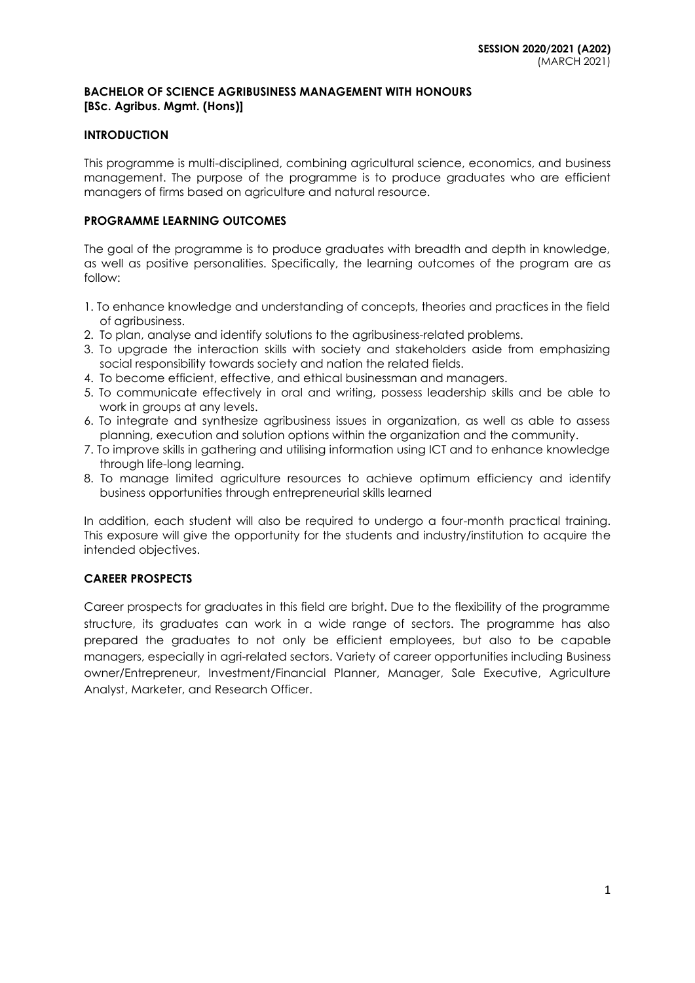## **BACHELOR OF SCIENCE AGRIBUSINESS MANAGEMENT WITH HONOURS [BSc. Agribus. Mgmt. (Hons)]**

## **INTRODUCTION**

This programme is multi-disciplined, combining agricultural science, economics, and business management. The purpose of the programme is to produce graduates who are efficient managers of firms based on agriculture and natural resource.

## **PROGRAMME LEARNING OUTCOMES**

The goal of the programme is to produce graduates with breadth and depth in knowledge, as well as positive personalities. Specifically, the learning outcomes of the program are as follow:

- 1. To enhance knowledge and understanding of concepts, theories and practices in the field of agribusiness.
- 2. To plan, analyse and identify solutions to the agribusiness-related problems.
- 3. To upgrade the interaction skills with society and stakeholders aside from emphasizing social responsibility towards society and nation the related fields.
- 4. To become efficient, effective, and ethical businessman and managers.
- 5. To communicate effectively in oral and writing, possess leadership skills and be able to work in groups at any levels.
- 6. To integrate and synthesize agribusiness issues in organization, as well as able to assess planning, execution and solution options within the organization and the community.
- 7. To improve skills in gathering and utilising information using ICT and to enhance knowledge through life-long learning.
- 8. To manage limited agriculture resources to achieve optimum efficiency and identify business opportunities through entrepreneurial skills learned

In addition, each student will also be required to undergo a four-month practical training. This exposure will give the opportunity for the students and industry/institution to acquire the intended objectives.

## **CAREER PROSPECTS**

Career prospects for graduates in this field are bright. Due to the flexibility of the programme structure, its graduates can work in a wide range of sectors. The programme has also prepared the graduates to not only be efficient employees, but also to be capable managers, especially in agri-related sectors. Variety of career opportunities including Business owner/Entrepreneur, Investment/Financial Planner, Manager, Sale Executive, Agriculture Analyst, Marketer, and Research Officer.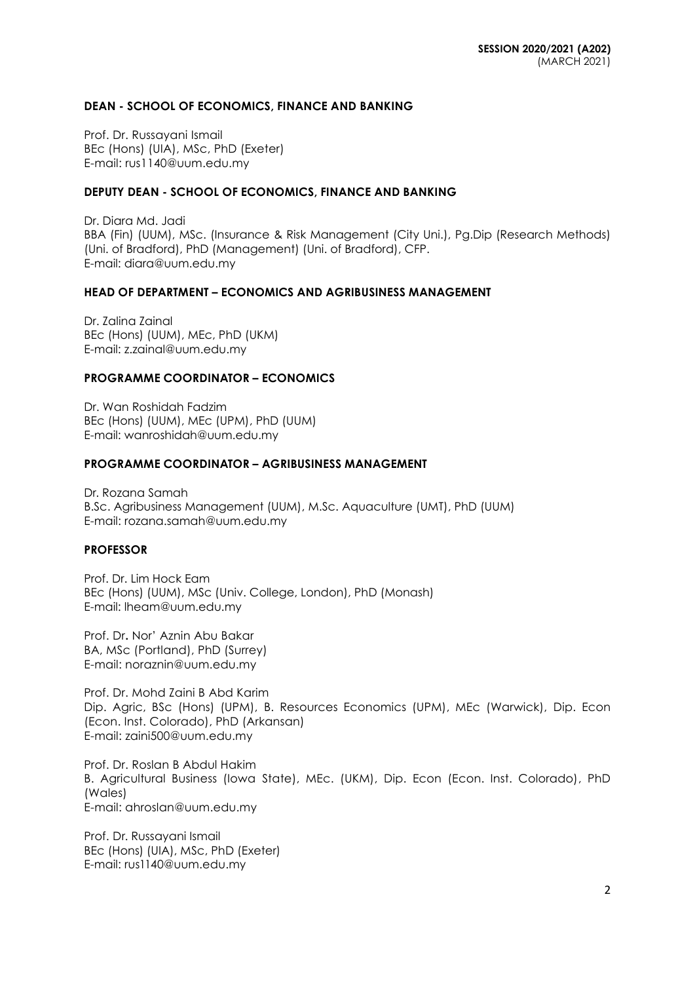## **DEAN - SCHOOL OF ECONOMICS, FINANCE AND BANKING**

Prof. Dr. Russayani Ismail BEc (Hons) (UIA), MSc, PhD (Exeter) E-mail: rus1140@uum.edu.my

#### **DEPUTY DEAN - SCHOOL OF ECONOMICS, FINANCE AND BANKING**

Dr. Diara Md. Jadi BBA (Fin) (UUM), MSc. (Insurance & Risk Management (City Uni.), Pg.Dip (Research Methods) (Uni. of Bradford), PhD (Management) (Uni. of Bradford), CFP. E-mail: diara@uum.edu.my

## **HEAD OF DEPARTMENT – ECONOMICS AND AGRIBUSINESS MANAGEMENT**

Dr. Zalina Zainal BEc (Hons) (UUM), MEc, PhD (UKM) E-mail: [z.zainal@uum.edu.my](mailto:z.zainal@uum.edu.my)

#### **PROGRAMME COORDINATOR – ECONOMICS**

Dr. Wan Roshidah Fadzim BEc (Hons) (UUM), MEc (UPM), PhD (UUM) E-mail: [wanroshidah@uum.edu.my](mailto:wanroshidah@uum.edu.my)

#### **PROGRAMME COORDINATOR – AGRIBUSINESS MANAGEMENT**

Dr. Rozana Samah B.Sc. Agribusiness Management (UUM), M.Sc. Aquaculture (UMT), PhD (UUM) E-mail: [rozana.samah@uum.edu.my](mailto:rozana.samah@uum.edu.my)

#### **PROFESSOR**

Prof. Dr. Lim Hock Eam BEc (Hons) (UUM), MSc (Univ. College, London), PhD (Monash) E-mail: [lheam@uum.edu.my](mailto:lheam@uum.edu.my)

Prof. Dr**.** Nor' Aznin Abu Bakar BA, MSc (Portland), PhD (Surrey) E-mail: [noraznin@uum.edu.my](mailto:noraznin@uum.edu.my)

Prof. Dr. Mohd Zaini B Abd Karim Dip. Agric, BSc (Hons) (UPM), B. Resources Economics (UPM), MEc (Warwick), Dip. Econ (Econ. Inst. Colorado), PhD (Arkansan) E-mail: zaini500@uum.edu.my

Prof. Dr. Roslan B Abdul Hakim B. Agricultural Business (Iowa State), MEc. (UKM), Dip. Econ (Econ. Inst. Colorado), PhD (Wales) E-mail: ahroslan@uum.edu.my

Prof. Dr. Russayani Ismail BEc (Hons) (UIA), MSc, PhD (Exeter) E-mail: [rus1140@uum.edu.my](mailto:rus1140@uum.edu.my)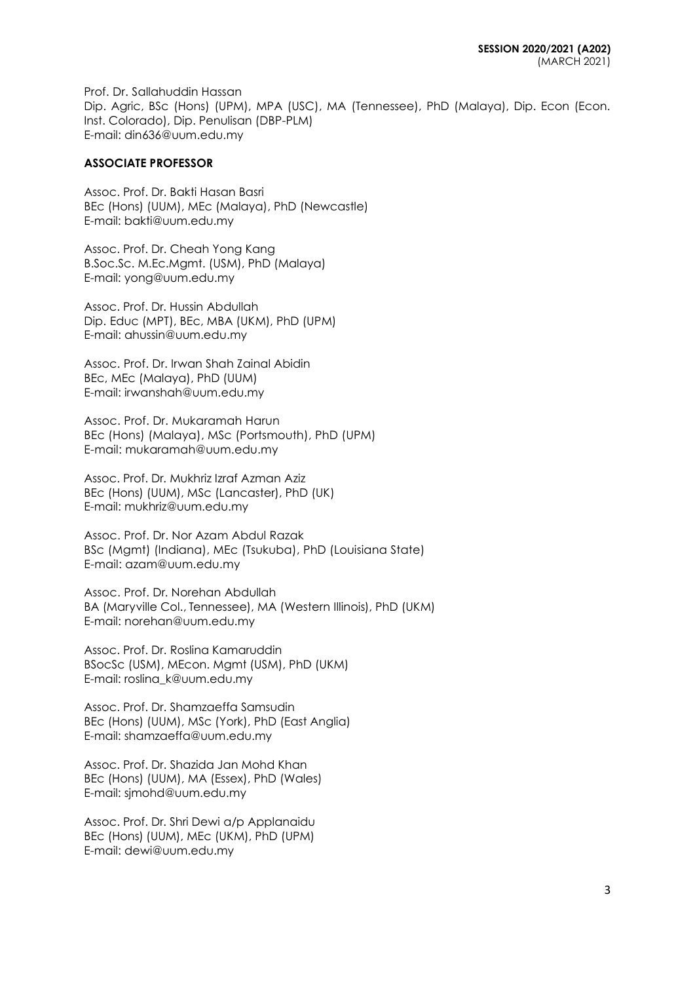Prof. Dr. Sallahuddin Hassan Dip. Agric, BSc (Hons) (UPM), MPA (USC), MA (Tennessee), PhD (Malaya), Dip. Econ (Econ. Inst. Colorado), Dip. Penulisan (DBP-PLM) E-mail: [din636@uum.edu.my](mailto:din636@uum.edu.my)

## **ASSOCIATE PROFESSOR**

Assoc. Prof. Dr. Bakti Hasan Basri BEc (Hons) (UUM), MEc (Malaya), PhD (Newcastle) E-mail: [bakti@uum.edu.my](mailto:bakti@uum.edu.my)

Assoc. Prof. Dr. Cheah Yong Kang B.Soc.Sc. M.Ec.Mgmt. (USM), PhD (Malaya) E-mail: [yong@uum.edu.my](mailto:yong@uum.edu.my)

Assoc. Prof. Dr. Hussin Abdullah Dip. Educ (MPT), BEc, MBA (UKM), PhD (UPM) E-mail: [ahussin@uum.edu.my](mailto:ahussin@uum.edu.my)

Assoc. Prof. Dr. Irwan Shah Zainal Abidin BEc, MEc (Malaya), PhD (UUM) E-mail: [irwanshah@uum.edu.my](mailto:irwanshah@uum.edu.my)

Assoc. Prof. Dr. Mukaramah Harun BEc (Hons) (Malaya), MSc (Portsmouth), PhD (UPM) E-mail: mukaramah@uum.edu.my

Assoc. Prof. Dr. Mukhriz Izraf Azman Aziz BEc (Hons) (UUM), MSc (Lancaster), PhD (UK) E-mail: [mukhriz@uum.edu.my](mailto:mukhriz@uum.edu.my)

Assoc. Prof. Dr. Nor Azam Abdul Razak BSc (Mgmt) (Indiana), MEc (Tsukuba), PhD (Louisiana State) E-mail: [azam@uum.edu.my](mailto:azam@uum.edu.my)

Assoc. Prof. Dr. Norehan Abdullah BA (Maryville Col., Tennessee), MA (Western Illinois), PhD (UKM) E-mail: [norehan@uum.edu.my](mailto:norehan@uum.edu.my)

Assoc. Prof. Dr. Roslina Kamaruddin BSocSc (USM), MEcon. Mgmt (USM), PhD (UKM) E-mail: [roslina\\_k@uum.edu.my](mailto:roslina_k@uum.edu.my)

Assoc. Prof. Dr. Shamzaeffa Samsudin BEc (Hons) (UUM), MSc (York), PhD (East Anglia) E-mail: shamzaeffa@uum.edu.my

Assoc. Prof. Dr. Shazida Jan Mohd Khan BEc (Hons) (UUM), MA (Essex), PhD (Wales) E-mail: [sjmohd@uum.edu.my](mailto:sjmohd@uum.edu.my)

Assoc. Prof. Dr. Shri Dewi a/p Applanaidu BEc (Hons) (UUM), MEc (UKM), PhD (UPM) E-mail: [dewi@uum.edu.my](mailto:dewi@uum.edu.my)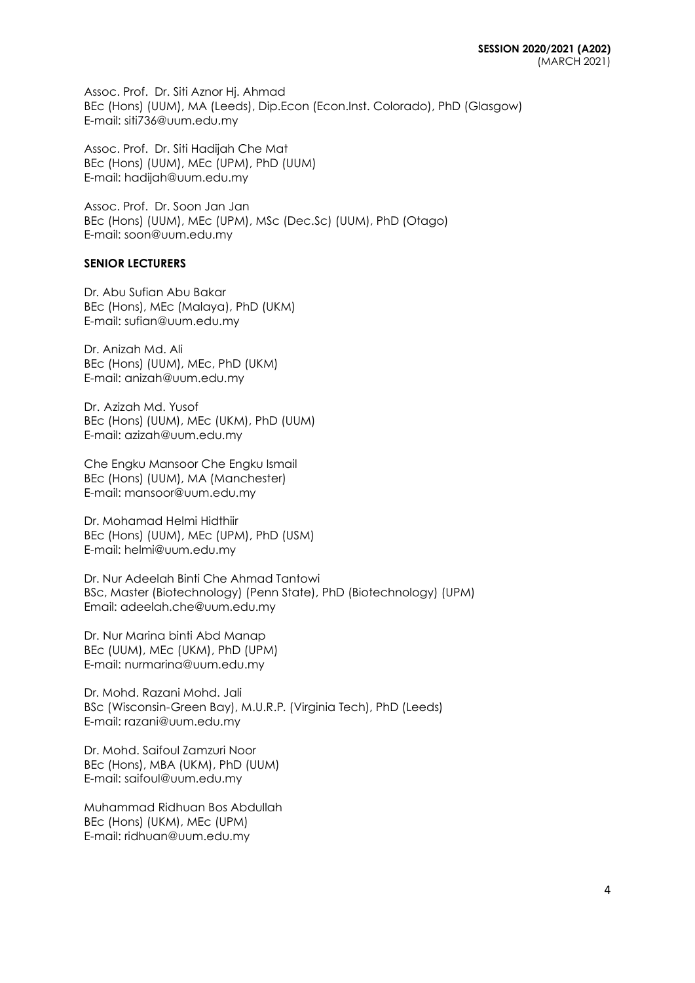Assoc. Prof. Dr. Siti Aznor Hj. Ahmad BEc (Hons) (UUM), MA (Leeds), Dip.Econ (Econ.Inst. Colorado), PhD (Glasgow) E-mail: siti736@uum.edu.my

Assoc. Prof. Dr. Siti Hadijah Che Mat BEc (Hons) (UUM), MEc (UPM), PhD (UUM) E-mail: [hadijah@uum.edu.my](mailto:hadijah@uum.edu.my)

Assoc. Prof. Dr. Soon Jan Jan BEc (Hons) (UUM), MEc (UPM), MSc (Dec.Sc) (UUM), PhD (Otago) E-mail: soon@uum.edu.my

### **SENIOR LECTURERS**

Dr. Abu Sufian Abu Bakar BEc (Hons), MEc (Malaya), PhD (UKM) E-mail: [sufian@uum.edu.my](mailto:sufian@uum.edu.my)

Dr. Anizah Md. Ali BEc (Hons) (UUM), MEc, PhD (UKM) E-mail: [anizah@uum.edu.my](mailto:anizah@uum.edu.my)

Dr. Azizah Md. Yusof BEc (Hons) (UUM), MEc (UKM), PhD (UUM) E-mail: [azizah@uum.edu.my](mailto:azizah@uum.edu.my)

Che Engku Mansoor Che Engku Ismail BEc (Hons) (UUM), MA (Manchester) E-mail: [mansoor@uum.edu.my](mailto:mansoor@uum.edu.my)

Dr. Mohamad Helmi Hidthiir BEc (Hons) (UUM), MEc (UPM), PhD (USM) E-mail: helmi@uum.edu.my

Dr. Nur Adeelah Binti Che Ahmad Tantowi BSc, Master (Biotechnology) (Penn State), PhD (Biotechnology) (UPM) Email: adeelah.che@uum.edu.my

Dr. Nur Marina binti Abd Manap BEc (UUM), MEc (UKM), PhD (UPM) E-mail: nu[rmarina@uum.edu.my](mailto:marina@uum.edu.my)

Dr. Mohd. Razani Mohd. Jali BSc (Wisconsin-Green Bay), M.U.R.P. (Virginia Tech), PhD (Leeds) E-mail: [razani@uum.edu.my](mailto:razani@uum.edu.my)

Dr. Mohd. Saifoul Zamzuri Noor BEc (Hons), MBA (UKM), PhD (UUM) E-mail: [saifoul@uum.edu.my](mailto:saifoul@uum.edu.my)

Muhammad Ridhuan Bos Abdullah BEc (Hons) (UKM), MEc (UPM) E-mail: [ridhuan@uum.edu.my](mailto:ridhuan@uum.edu.my)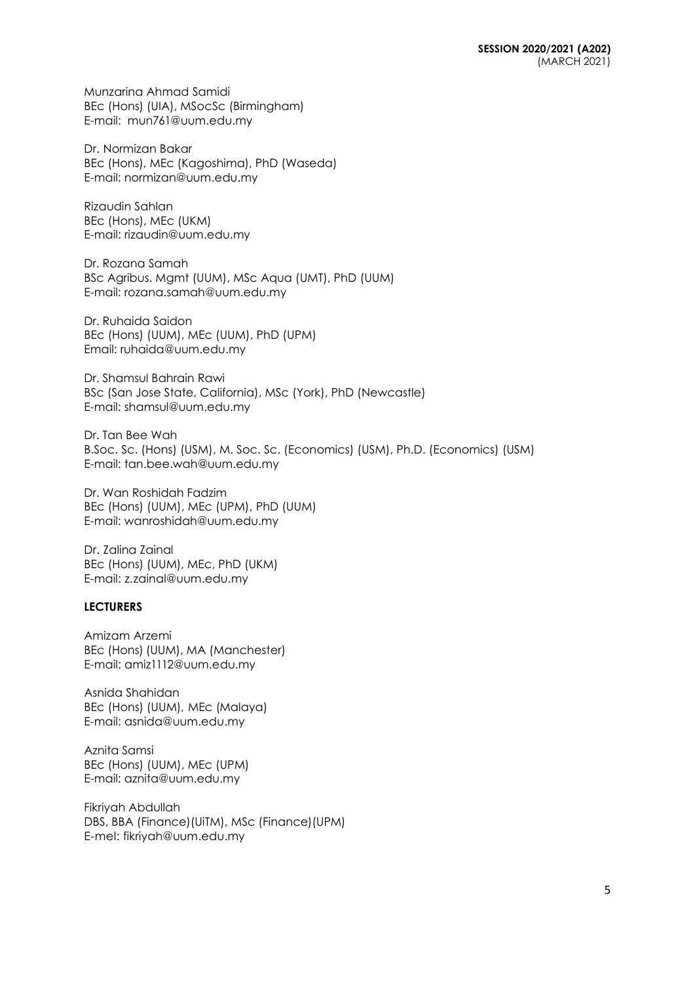Munzarina Ahmad Samidi BEc (Hons) (UIA), MSocSc (Birmingham) E-mail: [mun761@uum.edu.my](mailto:mun761@uum.edu.my)

Dr. Normizan Bakar BEc (Hons), MEc (Kagoshima), PhD (Waseda) E-mail: [normizan@uum.edu.my](mailto:normizan@uum.edu.my)

Rizaudin Sahlan BEc (Hons), MEc (UKM) E-mail: [rizaudin@uum.edu.my](mailto:rizaudin@uum.edu.my)

Dr. Rozana Samah BSc Agribus. Mgmt (UUM), MSc Aqua (UMT), PhD (UUM) E-mail: rozana.samah@uum.edu.my

Dr. Ruhaida Saidon BEc (Hons) (UUM), MEc (UUM), PhD (UPM) Email: ruhaida@uum.edu.my

Dr. Shamsul Bahrain Rawi BSc (San Jose State, California), MSc (York), PhD (Newcastle) E-mail: [shamsul@uum.edu.my](mailto:shamsul@uum.edu.my)

Dr. Tan Bee Wah B.Soc. Sc. (Hons) (USM), M. Soc. Sc. (Economics) (USM), Ph.D. (Economics) (USM) E-mail: tan.bee.wah@uum.edu.my

Dr. Wan Roshidah Fadzim BEc (Hons) (UUM), MEc (UPM), PhD (UUM) E-mail: [wanroshidah@uum.edu.my](mailto:wanroshidah@uum.edu.my)

Dr. Zalina Zainal BEc (Hons) (UUM), MEc, PhD (UKM) E-mail: [z.zainal@uum.edu.my](mailto:z.zainal@uum.edu.my)

## **LECTURERS**

Amizam Arzemi BEc (Hons) (UUM), MA (Manchester) E-mail: [amiz1112@uum.edu.my](mailto:amiz1112@uum.edu.my)

Asnida Shahidan BEc (Hons) (UUM), MEc (Malaya) E-mail: [asnida@uum.edu.my](mailto:asnida@uum.edu.my)

Aznita Samsi BEc (Hons) (UUM), MEc (UPM) E-mail: [aznita@uum.edu.my](mailto:aznita@uum.edu.my)

Fikriyah Abdullah DBS, BBA (Finance)(UiTM), MSc (Finance)(UPM) E-mel: [fikriyah@uum.edu.my](mailto:fikriyah@uum.edu.my)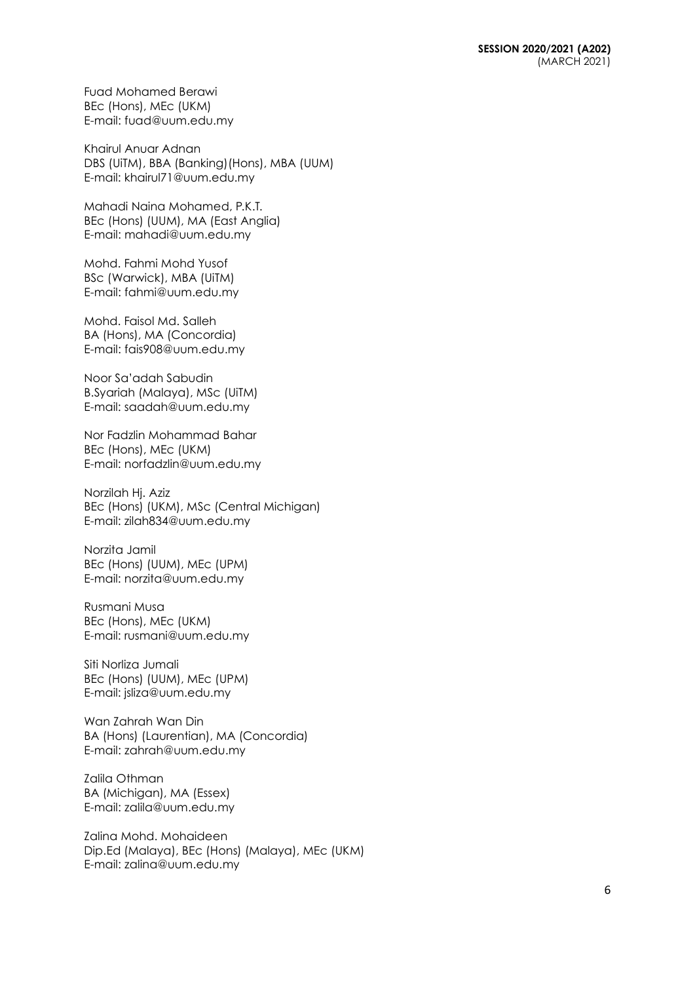Fuad Mohamed Berawi BEc (Hons), MEc (UKM) E-mail: [fuad@uum.edu.my](mailto:fuad@uum.edu.my)

Khairul Anuar Adnan DBS (UiTM), BBA (Banking)(Hons), MBA (UUM) E-mail: khairul71@uum.edu.my

Mahadi Naina Mohamed, P.K.T. BEc (Hons) (UUM), MA (East Anglia) E-mail: [mahadi@uum.edu.my](mailto:mahadi@uum.edu.my)

Mohd. Fahmi Mohd Yusof BSc (Warwick), MBA (UiTM) E-mail: [fahmi@uum.edu.my](mailto:fahmi@uum.edu.my)

Mohd. Faisol Md. Salleh BA (Hons), MA (Concordia) E-mail: [fais908@uum.edu.my](mailto:fais908@uum.edu.my)

Noor Sa'adah Sabudin B.Syariah (Malaya), MSc (UiTM) E-mail: [saadah@uum.edu.my](mailto:saadah@uum.edu.my)

Nor Fadzlin Mohammad Bahar BEc (Hons), MEc (UKM) E-mail: [norfadzlin@uum.edu.my](mailto:norfadzlin@uum.edu.my)

Norzilah Hj. Aziz BEc (Hons) (UKM), MSc (Central Michigan) E-mail: [zilah834@uum.edu.my](mailto:zilah834@uum.edu.my)

Norzita Jamil BEc (Hons) (UUM), MEc (UPM) E-mail: [norzita@uum.edu.my](mailto:norzita@uum.edu.my)

Rusmani Musa BEc (Hons), MEc (UKM) E-mail: [rusmani@uum.edu.my](mailto:rusmani@uum.edu.my)

Siti Norliza Jumali BEc (Hons) (UUM), MEc (UPM) E-mail: [jsliza@uum.edu.my](mailto:jsliza@uum.edu.my)

Wan Zahrah Wan Din BA (Hons) (Laurentian), MA (Concordia) E-mail: [zahrah@uum.edu.my](mailto:zahrah@uum.edu.my)

Zalila Othman BA (Michigan), MA (Essex) E-mail: [zalila@uum.edu.my](mailto:zalila@uum.edu.my)

Zalina Mohd. Mohaideen Dip.Ed (Malaya), BEc (Hons) (Malaya), MEc (UKM) E-mail: [zalina@uum.edu.my](mailto:zalina@uum.edu.my)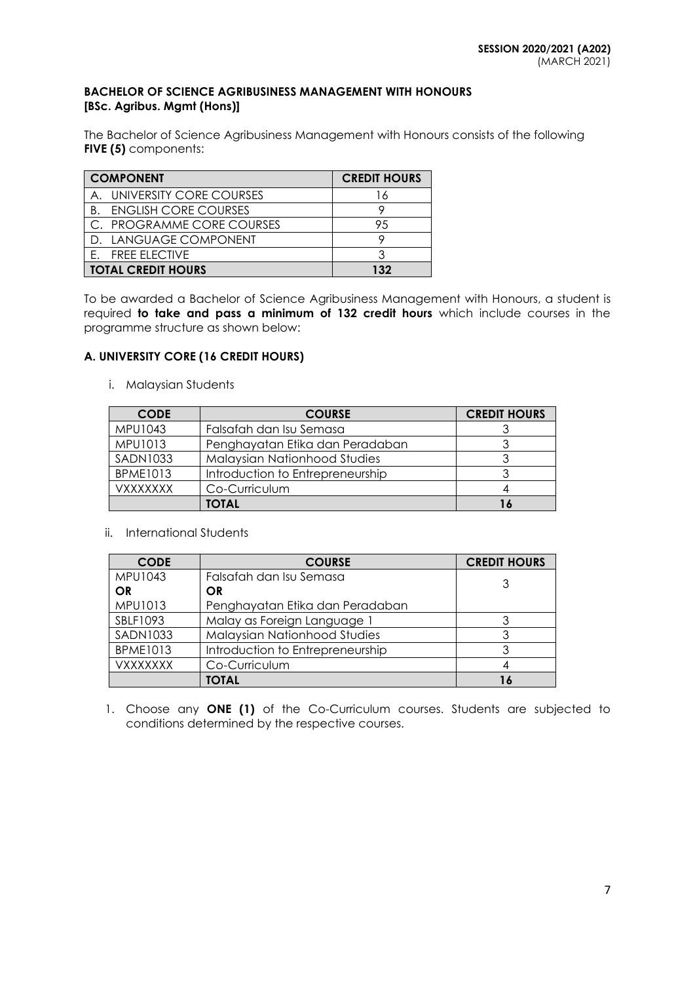## **BACHELOR OF SCIENCE AGRIBUSINESS MANAGEMENT WITH HONOURS [BSc. Agribus. Mgmt (Hons)]**

The Bachelor of Science Agribusiness Management with Honours consists of the following **FIVE (5)** components:

| <b>COMPONENT</b>                  | <b>CREDIT HOURS</b> |
|-----------------------------------|---------------------|
| A. UNIVERSITY CORE COURSES        | ۱6                  |
| <b>ENGLISH CORE COURSES</b><br>B. |                     |
| C. PROGRAMME CORE COURSES         | 95                  |
| D. LANGUAGE COMPONENT             |                     |
| E. FREE ELECTIVE                  |                     |
| <b>TOTAL CREDIT HOURS</b>         | 132                 |

To be awarded a Bachelor of Science Agribusiness Management with Honours, a student is required **to take and pass a minimum of 132 credit hours** which include courses in the programme structure as shown below:

# **A. UNIVERSITY CORE (16 CREDIT HOURS)**

i. Malaysian Students

| <b>CODE</b>     | <b>COURSE</b>                    | <b>CREDIT HOURS</b> |
|-----------------|----------------------------------|---------------------|
| MPU1043         | Falsafah dan Isu Semasa          |                     |
| MPU1013         | Penghayatan Etika dan Peradaban  |                     |
| <b>SADN1033</b> | Malaysian Nationhood Studies     |                     |
| <b>BPME1013</b> | Introduction to Entrepreneurship |                     |
| VXXXXXXX        | Co-Curriculum                    |                     |
|                 | TOTAL                            |                     |

ii. International Students

| <b>CODE</b>     | <b>COURSE</b>                    | <b>CREDIT HOURS</b> |
|-----------------|----------------------------------|---------------------|
| MPU1043         | Falsafah dan Isu Semasa          | 3                   |
| <b>OR</b>       | <b>OR</b>                        |                     |
| MPU1013         | Penghayatan Etika dan Peradaban  |                     |
| SBLF1093        | Malay as Foreign Language 1      |                     |
| <b>SADN1033</b> | Malaysian Nationhood Studies     | 3                   |
| <b>BPME1013</b> | Introduction to Entrepreneurship |                     |
| <b>VXXXXXXX</b> | Co-Curriculum                    |                     |
|                 | <b>TOTAL</b>                     |                     |

1. Choose any **ONE (1)** of the Co-Curriculum courses. Students are subjected to conditions determined by the respective courses.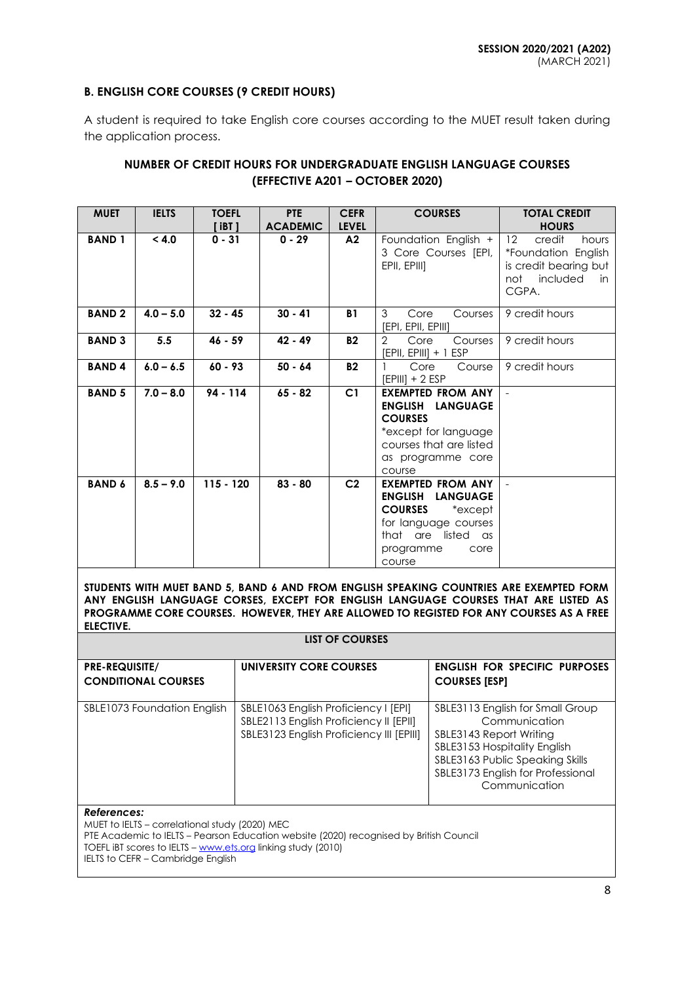## **B. ENGLISH CORE COURSES (9 CREDIT HOURS)**

A student is required to take English core courses according to the MUET result taken during the application process.

# **NUMBER OF CREDIT HOURS FOR UNDERGRADUATE ENGLISH LANGUAGE COURSES (EFFECTIVE A201 – OCTOBER 2020)**

| <b>MUET</b>   | <b>IELTS</b> | <b>TOEFL</b><br>$[$ iBT $]$ | <b>PTE</b><br><b>ACADEMIC</b> | <b>CEFR</b><br><b>LEVEL</b> | <b>COURSES</b>                                                                                                                                                          | <b>TOTAL CREDIT</b><br><b>HOURS</b>                                                                                    |
|---------------|--------------|-----------------------------|-------------------------------|-----------------------------|-------------------------------------------------------------------------------------------------------------------------------------------------------------------------|------------------------------------------------------------------------------------------------------------------------|
| <b>BAND1</b>  | < 4.0        | $0 - 31$                    | $0 - 29$                      | A2                          | Foundation English +<br>3 Core Courses [EPI,<br>EPII, EPIII]                                                                                                            | $12 \overline{ }$<br>hours<br>credit<br>*Foundation English<br>is credit bearing but<br>not<br>included<br>in<br>CGPA. |
| <b>BAND2</b>  | $4.0 - 5.0$  | $32 - 45$                   | $30 - 41$                     | <b>B1</b>                   | 3<br>Core<br>Courses<br>[EPI, EPII, EPIII]                                                                                                                              | 9 credit hours                                                                                                         |
| <b>BAND 3</b> | 5.5          | $46 - 59$                   | $42 - 49$                     | <b>B2</b>                   | $\overline{2}$<br>Core<br>Courses<br>$[EPII, EPIII] + 1 ESP$                                                                                                            | 9 credit hours                                                                                                         |
| <b>BAND4</b>  | $6.0 - 6.5$  | $60 - 93$                   | $50 - 64$                     | <b>B2</b>                   | Core<br>Course<br>$[EPIII] + 2 ESP$                                                                                                                                     | 9 credit hours                                                                                                         |
| <b>BAND 5</b> | $7.0 - 8.0$  | $94 - 114$                  | $65 - 82$                     | C <sub>1</sub>              | <b>EXEMPTED FROM ANY</b><br><b>ENGLISH</b><br><b>LANGUAGE</b><br><b>COURSES</b><br>*except for language<br>courses that are listed<br>as programme core<br>course       |                                                                                                                        |
| <b>BAND 6</b> | $8.5 - 9.0$  | $115 - 120$                 | $83 - 80$                     | C <sub>2</sub>              | <b>EXEMPTED FROM ANY</b><br><b>ENGLISH</b><br><b>LANGUAGE</b><br><b>COURSES</b><br>*except<br>for language courses<br>that are listed as<br>programme<br>core<br>course |                                                                                                                        |

**STUDENTS WITH MUET BAND 5, BAND 6 AND FROM ENGLISH SPEAKING COUNTRIES ARE EXEMPTED FORM ANY ENGLISH LANGUAGE CORSES, EXCEPT FOR ENGLISH LANGUAGE COURSES THAT ARE LISTED AS PROGRAMME CORE COURSES. HOWEVER, THEY ARE ALLOWED TO REGISTED FOR ANY COURSES AS A FREE ELECTIVE.**

**LIST OF COURSES**

| <b>PRE-REQUISITE/</b><br><b>CONDITIONAL COURSES</b> | UNIVERSITY CORE COURSES                                                                                                    | <b>ENGLISH FOR SPECIFIC PURPOSES</b><br><b>COURSES [ESP]</b>                                                                                                                                          |
|-----------------------------------------------------|----------------------------------------------------------------------------------------------------------------------------|-------------------------------------------------------------------------------------------------------------------------------------------------------------------------------------------------------|
|                                                     |                                                                                                                            |                                                                                                                                                                                                       |
| SBLE1073 Foundation English                         | SBLE1063 English Proficiency I [EPI]<br>SBLE2113 English Proficiency II [EPII]<br>SBLE3123 English Proficiency III [EPIII] | SBLE3113 English for Small Group<br>Communication<br>SBLE3143 Report Writing<br>SBLE3153 Hospitality English<br>SBLE3163 Public Speaking Skills<br>SBLE3173 English for Professional<br>Communication |
| References:                                         |                                                                                                                            |                                                                                                                                                                                                       |

MUET to IELTS – correlational study (2020) MEC PTE Academic to IELTS – Pearson Education website (2020) recognised by British Council TOEFL IBT scores to IELTS – [www.ets.org](http://www.ets.org/) linking study (2010) IELTS to CEFR – Cambridge English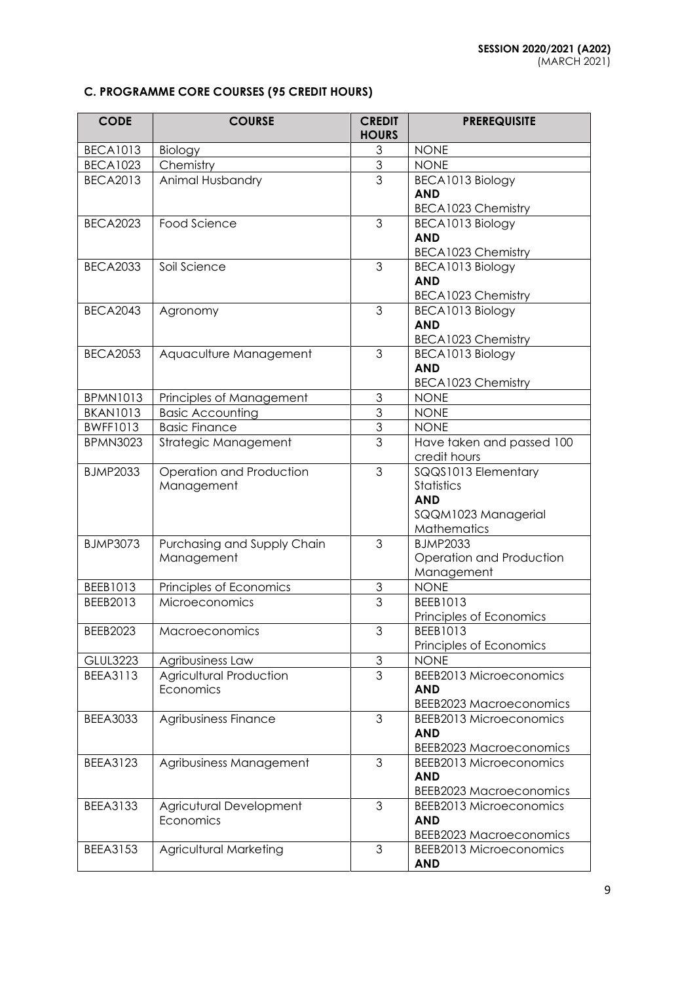# **C. PROGRAMME CORE COURSES (95 CREDIT HOURS)**

| <b>CODE</b>     | <b>COURSE</b>               | <b>CREDIT</b><br><b>HOURS</b> | <b>PREREQUISITE</b>                                       |
|-----------------|-----------------------------|-------------------------------|-----------------------------------------------------------|
| <b>BECA1013</b> | Biology                     | $\mathfrak{S}$                | <b>NONE</b>                                               |
| <b>BECA1023</b> | Chemistry                   | $\ensuremath{\mathsf{3}}$     | <b>NONE</b>                                               |
| <b>BECA2013</b> | Animal Husbandry            | 3                             | BECA1013 Biology                                          |
|                 |                             |                               | <b>AND</b>                                                |
|                 |                             |                               | <b>BECA1023 Chemistry</b>                                 |
| <b>BECA2023</b> | Food Science                | 3                             | BECA1013 Biology                                          |
|                 |                             |                               | <b>AND</b>                                                |
|                 |                             |                               | <b>BECA1023 Chemistry</b>                                 |
| <b>BECA2033</b> | Soil Science                | 3                             | BECA1013 Biology                                          |
|                 |                             |                               | <b>AND</b>                                                |
|                 |                             |                               | BECA1023 Chemistry                                        |
| <b>BECA2043</b> | Agronomy                    | 3                             | BECA1013 Biology                                          |
|                 |                             |                               | <b>AND</b>                                                |
|                 |                             |                               | BECA1023 Chemistry                                        |
| <b>BECA2053</b> | Aquaculture Management      | 3                             | BECA1013 Biology                                          |
|                 |                             |                               | <b>AND</b><br><b>BECA1023 Chemistry</b>                   |
| <b>BPMN1013</b> | Principles of Management    | 3                             | <b>NONE</b>                                               |
| <b>BKAN1013</b> | <b>Basic Accounting</b>     | $\overline{3}$                | <b>NONE</b>                                               |
| <b>BWFF1013</b> | <b>Basic Finance</b>        | $\overline{3}$                | <b>NONE</b>                                               |
| <b>BPMN3023</b> | Strategic Management        | $\overline{3}$                | Have taken and passed 100                                 |
|                 |                             |                               | credit hours                                              |
| <b>BJMP2033</b> | Operation and Production    | 3                             | SQQS1013 Elementary                                       |
|                 | Management                  |                               | <b>Statistics</b>                                         |
|                 |                             |                               | <b>AND</b>                                                |
|                 |                             |                               | SQQM1023 Managerial                                       |
|                 |                             |                               | Mathematics                                               |
| <b>BJMP3073</b> | Purchasing and Supply Chain | 3                             | <b>BJMP2033</b>                                           |
|                 | Management                  |                               | Operation and Production                                  |
|                 |                             |                               | Management                                                |
| BEEB1013        | Principles of Economics     | 3                             | <b>NONE</b>                                               |
| BEEB2013        | <b>Microeconomics</b>       | 3                             | BEEB1013                                                  |
|                 |                             |                               | Principles of Economics                                   |
| <b>BEEB2023</b> | Macroeconomics              | 3                             | BEEB1013                                                  |
|                 |                             |                               | Principles of Economics                                   |
| <b>GLUL3223</b> | Agribusiness Law            | 3                             | <b>NONE</b>                                               |
| <b>BEEA3113</b> | Agricultural Production     | 3                             | <b>BEEB2013 Microeconomics</b>                            |
|                 | Economics                   |                               | <b>AND</b>                                                |
|                 |                             |                               | <b>BEEB2023 Macroeconomics</b>                            |
| <b>BEEA3033</b> | Agribusiness Finance        | 3                             | <b>BEEB2013 Microeconomics</b>                            |
|                 |                             |                               | <b>AND</b>                                                |
| <b>BEEA3123</b> | Agribusiness Management     | 3                             | <b>BEEB2023 Macroeconomics</b><br>BEEB2013 Microeconomics |
|                 |                             |                               | <b>AND</b>                                                |
|                 |                             |                               | <b>BEEB2023 Macroeconomics</b>                            |
| <b>BEEA3133</b> | Agricutural Development     | 3                             | <b>BEEB2013 Microeconomics</b>                            |
|                 | Economics                   |                               | <b>AND</b>                                                |
|                 |                             |                               | <b>BEEB2023 Macroeconomics</b>                            |
| <b>BEEA3153</b> | Agricultural Marketing      | 3                             | <b>BEEB2013 Microeconomics</b>                            |
|                 |                             |                               | <b>AND</b>                                                |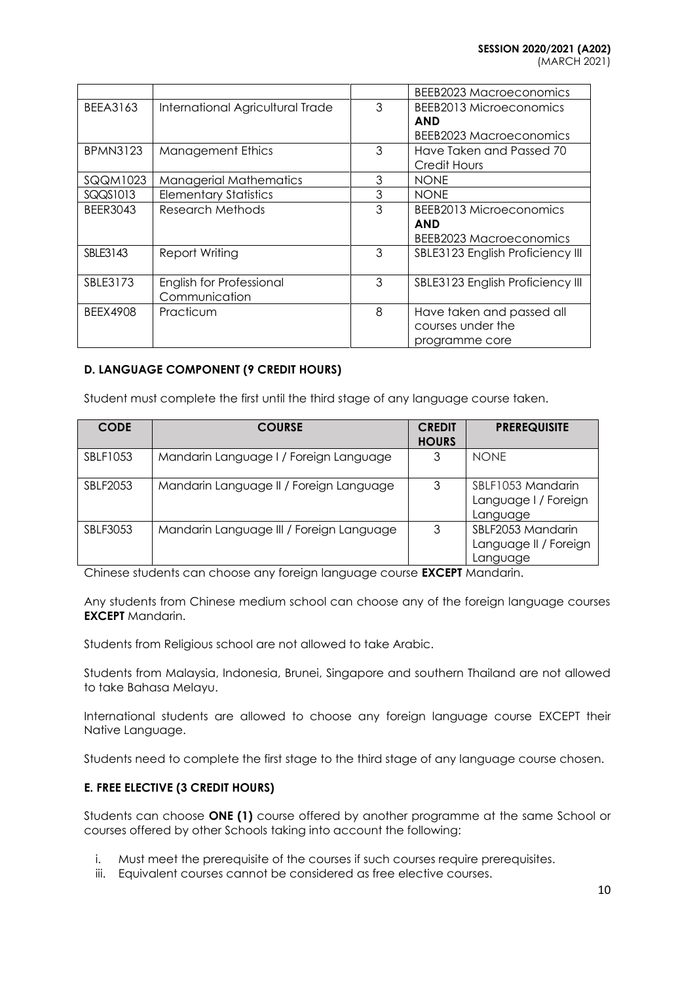|  | MARCH 2021) |  |
|--|-------------|--|

|                 |                                  |   | <b>BEEB2023 Macroeconomics</b>   |
|-----------------|----------------------------------|---|----------------------------------|
| BEEA3163        | International Agricultural Trade | 3 | BEEB2013 Microeconomics          |
|                 |                                  |   | <b>AND</b>                       |
|                 |                                  |   | <b>BEEB2023 Macroeconomics</b>   |
| <b>BPMN3123</b> | <b>Management Ethics</b>         | 3 | Have Taken and Passed 70         |
|                 |                                  |   | <b>Credit Hours</b>              |
| SQQM1023        | <b>Managerial Mathematics</b>    | 3 | <b>NONE</b>                      |
| SQQS1013        | <b>Elementary Statistics</b>     | 3 | <b>NONE</b>                      |
| <b>BEER3043</b> | Research Methods                 | 3 | BEEB2013 Microeconomics          |
|                 |                                  |   | <b>AND</b>                       |
|                 |                                  |   | <b>BEEB2023 Macroeconomics</b>   |
| SBLE3143        | <b>Report Writing</b>            | 3 | SBLE3123 English Proficiency III |
|                 |                                  |   |                                  |
| SBLE3173        | English for Professional         | 3 | SBLE3123 English Proficiency III |
|                 | Communication                    |   |                                  |
| BEEX4908        | Practicum                        | 8 | Have taken and passed all        |
|                 |                                  |   | courses under the                |
|                 |                                  |   | programme core                   |

# **D. LANGUAGE COMPONENT (9 CREDIT HOURS)**

Student must complete the first until the third stage of any language course taken.

| <b>CODE</b> | <b>COURSE</b>                            | <b>CREDIT</b><br><b>HOURS</b> | <b>PREREQUISITE</b>                                    |
|-------------|------------------------------------------|-------------------------------|--------------------------------------------------------|
| SBLF1053    | Mandarin Language I / Foreign Language   | 3                             | <b>NONE</b>                                            |
| SBLF2053    | Mandarin Language II / Foreign Language  | 3                             | SBLF1053 Mandarin<br>Language I / Foreign<br>Language  |
| SBLF3053    | Mandarin Language III / Foreign Language | 3                             | SBLF2053 Mandarin<br>Language II / Foreign<br>Language |

Chinese students can choose any foreign language course **EXCEPT** Mandarin.

Any students from Chinese medium school can choose any of the foreign language courses **EXCEPT** Mandarin.

Students from Religious school are not allowed to take Arabic.

Students from Malaysia, Indonesia, Brunei, Singapore and southern Thailand are not allowed to take Bahasa Melayu.

International students are allowed to choose any foreign language course EXCEPT their Native Language.

Students need to complete the first stage to the third stage of any language course chosen.

# **E. FREE ELECTIVE (3 CREDIT HOURS)**

Students can choose **ONE (1)** course offered by another programme at the same School or courses offered by other Schools taking into account the following:

- i. Must meet the prerequisite of the courses if such courses require prerequisites.
- iii. Equivalent courses cannot be considered as free elective courses.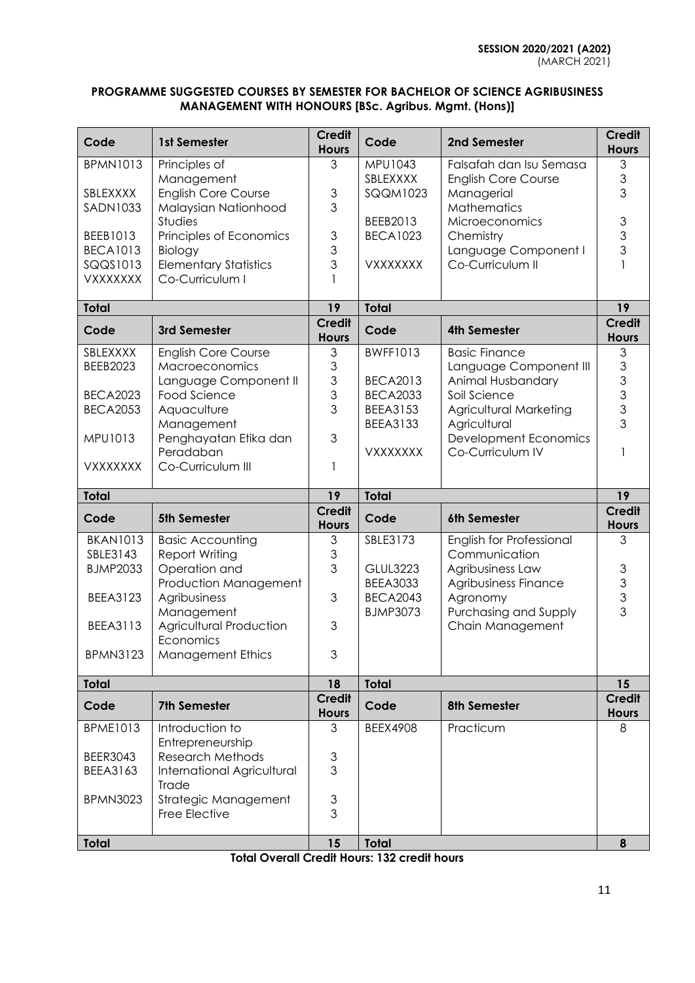## **PROGRAMME SUGGESTED COURSES BY SEMESTER FOR BACHELOR OF SCIENCE AGRIBUSINESS MANAGEMENT WITH HONOURS [BSc. Agribus. Mgmt. (Hons)]**

| Code                        | 1st Semester                                       | <b>Credit</b><br><b>Hours</b> | Code                               | 2nd Semester                              | <b>Credit</b><br><b>Hours</b> |
|-----------------------------|----------------------------------------------------|-------------------------------|------------------------------------|-------------------------------------------|-------------------------------|
| <b>BPMN1013</b>             | Principles of                                      | 3                             | MPU1043                            | Falsafah dan Isu Semasa                   | 3                             |
|                             | Management                                         |                               | SBLEXXXX                           | <b>English Core Course</b>                | 3<br>3                        |
| SBLEXXXX<br><b>SADN1033</b> | <b>English Core Course</b><br>Malaysian Nationhood | $\mathfrak 3$<br>3            | <b>SQQM1023</b>                    | Managerial<br>Mathematics                 |                               |
|                             | Studies                                            |                               | BEEB2013                           | Microeconomics                            | 3                             |
| BEEB1013                    | Principles of Economics                            | $\mathfrak 3$                 | <b>BECA1023</b>                    | Chemistry                                 | 3                             |
| <b>BECA1013</b>             | Biology                                            | 3                             |                                    | Language Component I                      | 3                             |
| SQQS1013                    | <b>Elementary Statistics</b>                       | 3                             | VXXXXXXX                           | Co-Curriculum II                          |                               |
| VXXXXXXX                    | Co-Curriculum I                                    |                               |                                    |                                           |                               |
| <b>Total</b>                |                                                    | 19                            | <b>Total</b>                       |                                           | 19                            |
| Code                        | 3rd Semester                                       | <b>Credit</b><br><b>Hours</b> | Code                               | <b>4th Semester</b>                       | <b>Credit</b><br><b>Hours</b> |
| SBLEXXXX                    | <b>English Core Course</b>                         | 3                             | <b>BWFF1013</b>                    | <b>Basic Finance</b>                      | 3                             |
| <b>BEEB2023</b>             | Macroeconomics                                     | $\mathfrak 3$                 |                                    | Language Component III                    | 3                             |
| <b>BECA2023</b>             | Language Component II<br>Food Science              | 3<br>3                        | <b>BECA2013</b><br><b>BECA2033</b> | Animal Husbandary<br>Soil Science         | 3<br>3                        |
| <b>BECA2053</b>             | Aquaculture                                        | 3                             | <b>BEEA3153</b>                    | Agricultural Marketing                    | 3                             |
|                             | Management                                         |                               | <b>BEEA3133</b>                    | Agricultural                              | 3                             |
| MPU1013                     | Penghayatan Etika dan                              | 3                             |                                    | Development Economics                     |                               |
|                             | Peradaban                                          |                               | <b>VXXXXXXX</b>                    | Co-Curriculum IV                          |                               |
| <b>VXXXXXXX</b>             | Co-Curriculum III                                  | 1                             |                                    |                                           |                               |
|                             |                                                    |                               |                                    |                                           |                               |
| <b>Total</b>                |                                                    | 19                            | <b>Total</b>                       |                                           | 19                            |
| Code                        | <b>5th Semester</b>                                | <b>Credit</b><br><b>Hours</b> | Code                               | 6th Semester                              | <b>Credit</b><br><b>Hours</b> |
| <b>BKAN1013</b>             | <b>Basic Accounting</b>                            | 3                             | SBLE3173                           | English for Professional                  | 3                             |
| SBLE3143                    | Report Writing                                     | $\mathfrak 3$                 |                                    | Communication                             |                               |
| <b>BJMP2033</b>             | Operation and                                      | 3                             | <b>GLUL3223</b>                    | Agribusiness Law                          | $\mathsf 3$                   |
|                             | Production Management                              |                               | <b>BEEA3033</b>                    | Agribusiness Finance                      |                               |
| <b>BEEA3123</b>             | Agribusiness                                       | 3                             | <b>BECA2043</b>                    | Agronomy                                  | $\frac{3}{3}$<br>3            |
| <b>BEEA3113</b>             | Management<br>Agricultural Production              | 3                             | <b>BJMP3073</b>                    | Purchasing and Supply<br>Chain Management |                               |
|                             | Economics                                          |                               |                                    |                                           |                               |
| <b>BPMN3123</b>             | <b>Management Ethics</b>                           | 3                             |                                    |                                           |                               |
| <b>Total</b>                |                                                    | 18                            | <b>Total</b>                       |                                           | 15                            |
| Code                        | <b>7th Semester</b>                                | <b>Credit</b><br><b>Hours</b> | Code                               | <b>8th Semester</b>                       | <b>Credit</b><br><b>Hours</b> |
| <b>BPME1013</b>             | Introduction to                                    | 3                             | <b>BEEX4908</b>                    | Practicum                                 | 8                             |
|                             | Entrepreneurship                                   |                               |                                    |                                           |                               |
| <b>BEER3043</b>             | <b>Research Methods</b>                            | $\ensuremath{\mathsf{3}}$     |                                    |                                           |                               |
| BEEA3163                    | <b>International Agricultural</b><br>Trade         | 3                             |                                    |                                           |                               |
| <b>BPMN3023</b>             | Strategic Management                               | $\ensuremath{\mathsf{3}}$     |                                    |                                           |                               |
|                             | Free Elective                                      | 3                             |                                    |                                           |                               |

**Total Overall Credit Hours: 132 credit hours**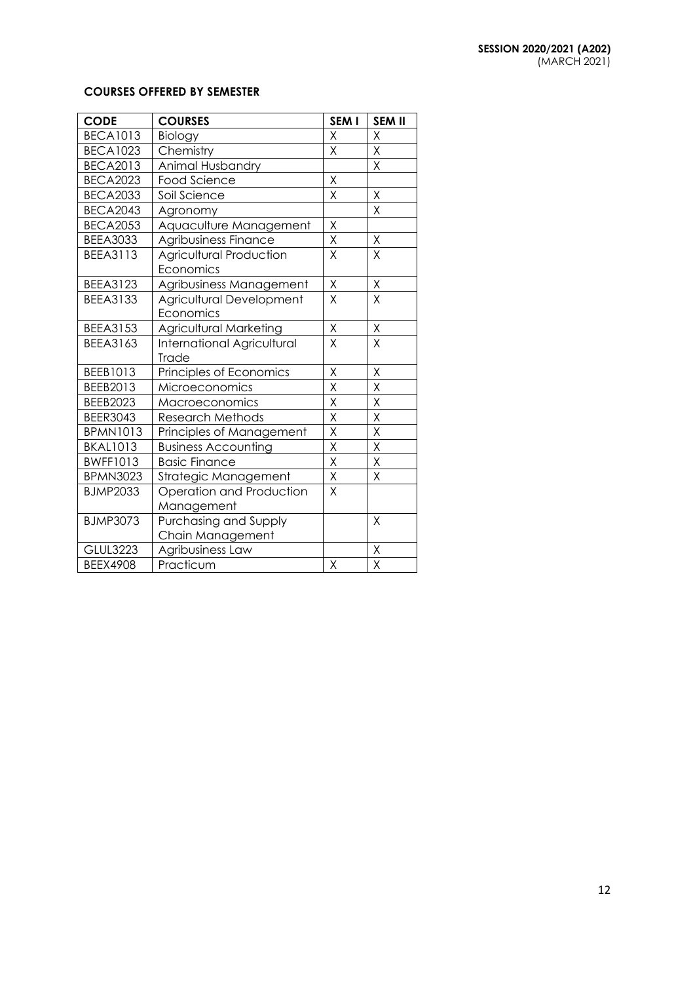## **COURSES OFFERED BY SEMESTER**

| <b>CODE</b>     | <b>COURSES</b>                    | SEM I                   | <b>SEM II</b>           |
|-----------------|-----------------------------------|-------------------------|-------------------------|
| <b>BECA1013</b> | Biology                           | X                       | X                       |
| <b>BECA1023</b> | Chemistry                         | Χ                       | Χ                       |
| <b>BECA2013</b> | Animal Husbandry                  |                         | X                       |
| <b>BECA2023</b> | <b>Food Science</b>               | X                       |                         |
| <b>BECA2033</b> | Soil Science                      | X                       | Χ                       |
| <b>BECA2043</b> | Agronomy                          |                         | X                       |
| <b>BECA2053</b> | Aquaculture Management            | Χ                       |                         |
| <b>BEEA3033</b> | Agribusiness Finance              | $\overline{\mathsf{X}}$ | $\sf X$                 |
| <b>BEEA3113</b> | <b>Agricultural Production</b>    | X                       | X                       |
|                 | Economics                         |                         |                         |
| <b>BEEA3123</b> | Agribusiness Management           | $\mathsf X$             | $\mathsf X$             |
| <b>BEEA3133</b> | Agricultural Development          | $\overline{\mathsf{X}}$ | X                       |
|                 | Economics                         |                         |                         |
| <b>BEEA3153</b> | Agricultural Marketing            | X                       | $\mathsf X$             |
| <b>BEEA3163</b> | <b>International Agricultural</b> | X                       | X                       |
|                 | Trade                             |                         |                         |
| BEEB1013        | Principles of Economics           | Χ                       | Χ                       |
| BEEB2013        | Microeconomics                    | X                       | X                       |
| <b>BEEB2023</b> | Macroeconomics                    | Χ                       | Χ                       |
| <b>BEER3043</b> | <b>Research Methods</b>           | $\sf X$                 | $\overline{\mathsf{x}}$ |
| <b>BPMN1013</b> | Principles of Management          | X                       | X                       |
| <b>BKAL1013</b> | <b>Business Accounting</b>        | X                       | Χ                       |
| <b>BWFF1013</b> | <b>Basic Finance</b>              | $\overline{\mathsf{X}}$ | X                       |
| <b>BPMN3023</b> | Strategic Management              | $\sf X$                 | Χ                       |
| <b>BJMP2033</b> | Operation and Production          | X                       |                         |
|                 | Management                        |                         |                         |
| <b>BJMP3073</b> | Purchasing and Supply             |                         | X                       |
|                 | Chain Management                  |                         |                         |
| <b>GLUL3223</b> | Agribusiness Law                  |                         | $\overline{\mathsf{X}}$ |
| <b>BEEX4908</b> | Practicum                         | X                       | X                       |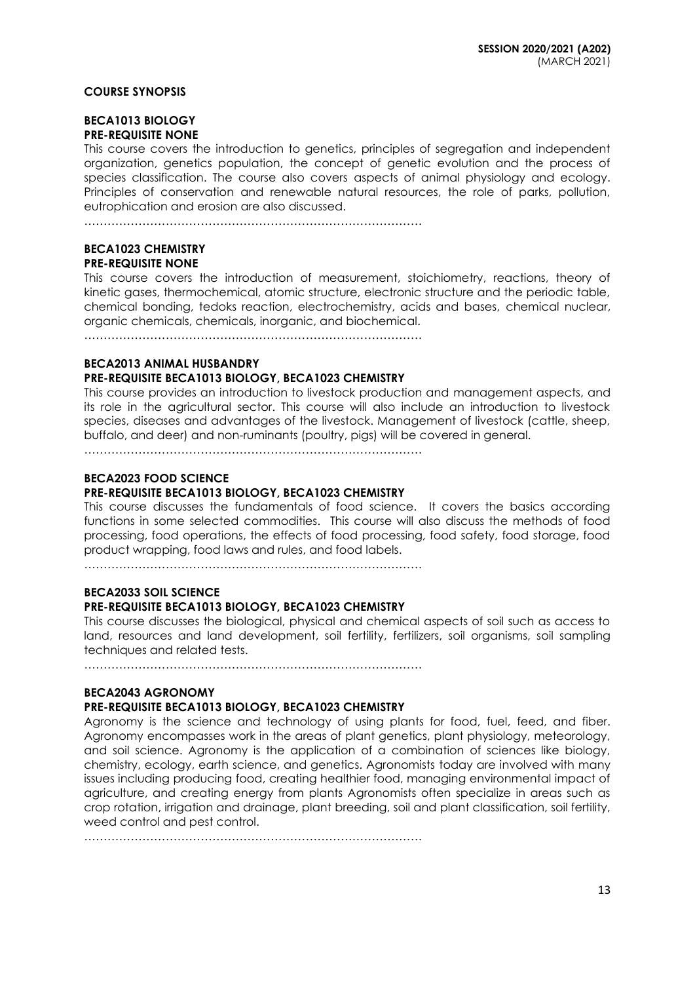#### **COURSE SYNOPSIS**

#### **BECA1013 BIOLOGY PRE-REQUISITE NONE**

This course covers the introduction to genetics, principles of segregation and independent organization, genetics population, the concept of genetic evolution and the process of species classification. The course also covers aspects of animal physiology and ecology. Principles of conservation and renewable natural resources, the role of parks, pollution, eutrophication and erosion are also discussed.

……………………………………………………………………………

#### **BECA1023 CHEMISTRY PRE-REQUISITE NONE**

This course covers the introduction of measurement, stoichiometry, reactions, theory of kinetic gases, thermochemical, atomic structure, electronic structure and the periodic table, chemical bonding, tedoks reaction, electrochemistry, acids and bases, chemical nuclear, organic chemicals, chemicals, inorganic, and biochemical.

……………………………………………………………………………

#### **BECA2013 ANIMAL HUSBANDRY**

## **PRE-REQUISITE BECA1013 BIOLOGY, BECA1023 CHEMISTRY**

This course provides an introduction to livestock production and management aspects, and its role in the agricultural sector. This course will also include an introduction to livestock species, diseases and advantages of the livestock. Management of livestock (cattle, sheep, buffalo, and deer) and non-ruminants (poultry, pigs) will be covered in general.

……………………………………………………………………………

## **BECA2023 FOOD SCIENCE**

## **PRE-REQUISITE BECA1013 BIOLOGY, BECA1023 CHEMISTRY**

This course discusses the fundamentals of food science. It covers the basics according functions in some selected commodities. This course will also discuss the methods of food processing, food operations, the effects of food processing, food safety, food storage, food product wrapping, food laws and rules, and food labels.

 $\mathcal{L}^{(n)}$ 

# **BECA2033 SOIL SCIENCE**

## **PRE-REQUISITE BECA1013 BIOLOGY, BECA1023 CHEMISTRY**

This course discusses the biological, physical and chemical aspects of soil such as access to land, resources and land development, soil fertility, fertilizers, soil organisms, soil sampling techniques and related tests.

……………………………………………………………………………

## **BECA2043 AGRONOMY**

## **PRE-REQUISITE BECA1013 BIOLOGY, BECA1023 CHEMISTRY**

Agronomy is the science and technology of using plants for food, fuel, feed, and fiber. Agronomy encompasses work in the areas of plant genetics, plant physiology, meteorology, and soil science. Agronomy is the application of a combination of sciences like biology, chemistry, ecology, earth science, and genetics. Agronomists today are involved with many issues including producing food, creating healthier food, managing environmental impact of agriculture, and creating energy from plants Agronomists often specialize in areas such as crop rotation, irrigation and drainage, plant breeding, soil and plant classification, soil fertility, weed control and pest control.

……………………………………………………………………………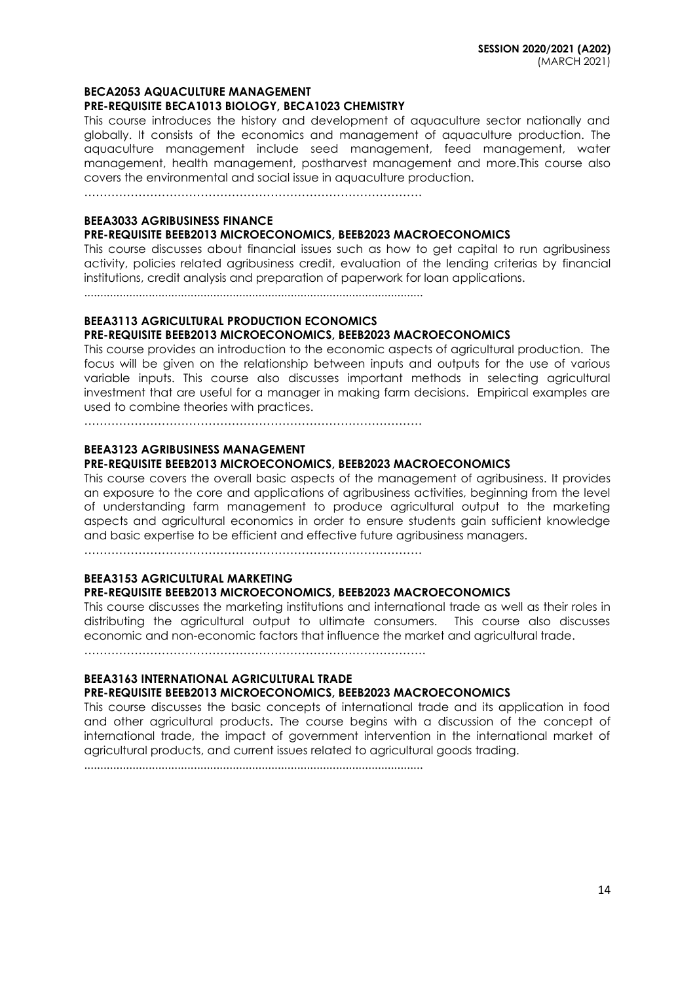#### **BECA2053 AQUACULTURE MANAGEMENT**

#### **PRE-REQUISITE BECA1013 BIOLOGY, BECA1023 CHEMISTRY**

This course introduces the history and development of aquaculture sector nationally and globally. It consists of the economics and management of aquaculture production. The aquaculture management include seed management, feed management, water management, health management, postharvest management and more.This course also covers the environmental and social issue in aquaculture production.

……………………………………………………………………………

## **BEEA3033 AGRIBUSINESS FINANCE**

#### **PRE-REQUISITE BEEB2013 MICROECONOMICS, BEEB2023 MACROECONOMICS**

This course discusses about financial issues such as how to get capital to run agribusiness activity, policies related agribusiness credit, evaluation of the lending criterias by financial institutions, credit analysis and preparation of paperwork for loan applications.

.........................................................................................................

### **BEEA3113 AGRICULTURAL PRODUCTION ECONOMICS**

#### **PRE-REQUISITE BEEB2013 MICROECONOMICS, BEEB2023 MACROECONOMICS**

This course provides an introduction to the economic aspects of agricultural production. The focus will be given on the relationship between inputs and outputs for the use of various variable inputs. This course also discusses important methods in selecting agricultural investment that are useful for a manager in making farm decisions. Empirical examples are used to combine theories with practices.

……………………………………………………………………………

#### **BEEA3123 AGRIBUSINESS MANAGEMENT**

#### **PRE-REQUISITE BEEB2013 MICROECONOMICS, BEEB2023 MACROECONOMICS**

This course covers the overall basic aspects of the management of agribusiness. It provides an exposure to the core and applications of agribusiness activities, beginning from the level of understanding farm management to produce agricultural output to the marketing aspects and agricultural economics in order to ensure students gain sufficient knowledge and basic expertise to be efficient and effective future agribusiness managers.

……………………………………………………………………………

## **BEEA3153 AGRICULTURAL MARKETING**

## **PRE-REQUISITE BEEB2013 MICROECONOMICS, BEEB2023 MACROECONOMICS**

This course discusses the marketing institutions and international trade as well as their roles in distributing the agricultural output to ultimate consumers. This course also discusses economic and non-economic factors that influence the market and agricultural trade.

…………………………………………………………………………….

#### **BEEA3163 INTERNATIONAL AGRICULTURAL TRADE PRE-REQUISITE BEEB2013 MICROECONOMICS, BEEB2023 MACROECONOMICS**

This course discusses the basic concepts of international trade and its application in food and other agricultural products. The course begins with a discussion of the concept of international trade, the impact of government intervention in the international market of agricultural products, and current issues related to agricultural goods trading.

.........................................................................................................